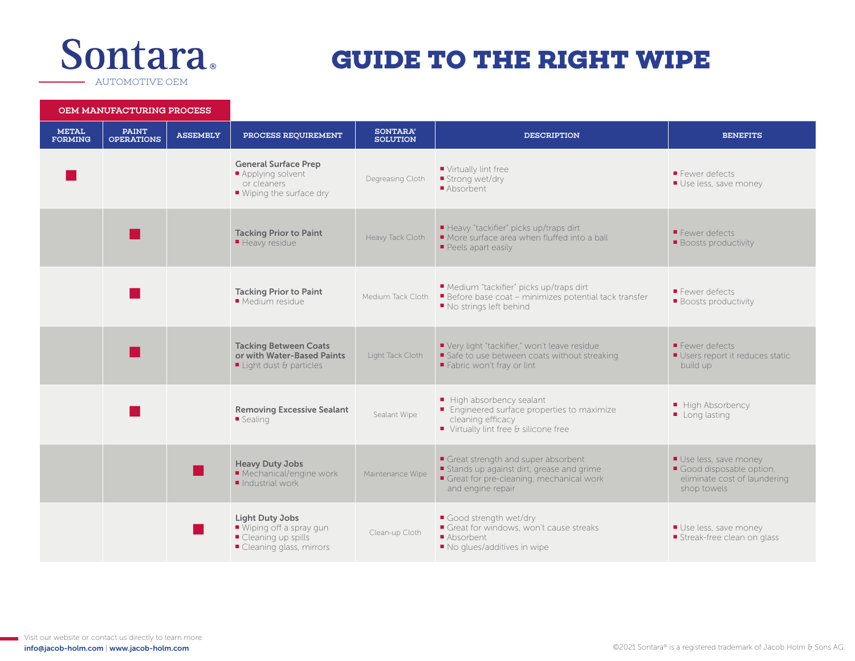## **Sontara**

## **GUIDE TO THE RIGHT WIPE**

AUTOMOTIVE OEM

OEM MANUFACTURING PROCESS

| 1 MANUTAU I URING PROUDDE      |                                   |                 |                                                                                                                      |                                    |                                                                                                                                                |                                                                                                |
|--------------------------------|-----------------------------------|-----------------|----------------------------------------------------------------------------------------------------------------------|------------------------------------|------------------------------------------------------------------------------------------------------------------------------------------------|------------------------------------------------------------------------------------------------|
| <b>METAL</b><br><b>FORMING</b> | <b>PAINT</b><br><b>OPERATIONS</b> | <b>ASSEMBLY</b> | PROCESS REOUIREMENT                                                                                                  | <b>SONTARA®</b><br><b>SOLUTION</b> | <b>DESCRIPTION</b>                                                                                                                             | <b>BENEFITS</b>                                                                                |
|                                |                                   |                 | <b>General Surface Prep</b><br>Applying solvent<br>or cleaners<br>■ Wiping the surface dry                           | Degreasing Cloth                   | Virtually lint free<br>■ Strong wet/dry<br>Absorbent                                                                                           | Fewer defects<br>Use less, save money                                                          |
|                                |                                   |                 | <b>Tacking Prior to Paint</b><br>■ Heavy residue                                                                     | Heavy Tack Cloth                   | ■ Heavy "tackifier" picks up/traps dirt<br>More surface area when fluffed into a ball<br>Peels apart easily                                    | Fewer defects<br><b>Boosts productivity</b>                                                    |
|                                |                                   |                 | <b>Tacking Prior to Paint</b><br>Medium residue                                                                      | Medium Tack Cloth                  | Medium "tackifier" picks up/traps dirt<br>Before base coat - minimizes potential tack transfer<br>■ No strings left behind                     | Fewer defects<br><b>Boosts productivity</b>                                                    |
|                                |                                   |                 | <b>Tacking Between Coats</b><br>or with Water-Based Paints<br>$\blacksquare$ Light dust & particles                  | Light Tack Cloth                   | Very light "tackifier," won't leave residue<br>Safe to use between coats without streaking<br>Fabric won't fray or lint                        | Fewer defects<br>■ Users report it reduces static<br>build up                                  |
|                                |                                   |                 | <b>Removing Excessive Sealant</b><br>■ Sealing                                                                       | Sealant Wipe                       | High absorbency sealant<br>■ Engineered surface properties to maximize<br>cleaning efficacy<br>■ Virtually lint free & silicone free           | High Absorbency<br>Long lasting                                                                |
|                                |                                   |                 | <b>Heavy Duty Jobs</b><br>Mechanical/engine work<br>$\blacksquare$ Industrial work                                   | Maintenance Wipe                   | Great strength and super absorbent<br>Stands up against dirt, grease and grime<br>Great for pre-cleaning, mechanical work<br>and engine repair | Use less, save money<br>Good disposable option,<br>eliminate cost of laundering<br>shop towels |
|                                |                                   |                 | <b>Light Duty Jobs</b><br>$\blacksquare$ Wiping off a spray gun<br>■ Cleaning up spills<br>■ Cleaning glass, mirrors | Clean-up Cloth                     | Good strength wet/dry<br>Great for windows, won't cause streaks<br>Absorbent<br>No glues/additives in wipe                                     | Use less, save money<br>Streak-free clean on glass                                             |